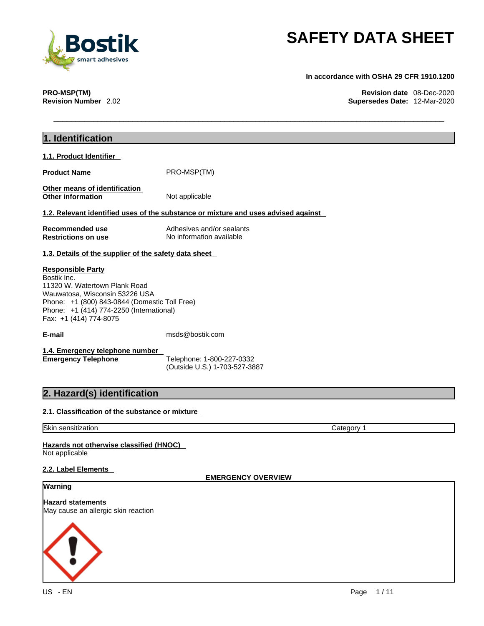

**In accordance with OSHA 29 CFR 1910.1200** 

**PRO-MSP(TM) Revision date** 08-Dec-2020 **Supersedes Date: 12-Mar-2020** 

| 1. Identification                                                                                                                                                                                                                 |                                                                                    |
|-----------------------------------------------------------------------------------------------------------------------------------------------------------------------------------------------------------------------------------|------------------------------------------------------------------------------------|
| 1.1. Product Identifier                                                                                                                                                                                                           |                                                                                    |
| <b>Product Name</b>                                                                                                                                                                                                               | PRO-MSP(TM)                                                                        |
| Other means of identification<br><b>Other information</b>                                                                                                                                                                         | Not applicable                                                                     |
|                                                                                                                                                                                                                                   | 1.2. Relevant identified uses of the substance or mixture and uses advised against |
| Recommended use<br><b>Restrictions on use</b>                                                                                                                                                                                     | Adhesives and/or sealants<br>No information available                              |
| 1.3. Details of the supplier of the safety data sheet                                                                                                                                                                             |                                                                                    |
| <b>Responsible Party</b><br>Bostik Inc.<br>11320 W. Watertown Plank Road<br>Wauwatosa, Wisconsin 53226 USA<br>Phone: +1 (800) 843-0844 (Domestic Toll Free)<br>Phone: +1 (414) 774-2250 (International)<br>Fax: +1 (414) 774-8075 |                                                                                    |
| E-mail                                                                                                                                                                                                                            | msds@bostik.com                                                                    |
| 1.4. Emergency telephone number<br><b>Emergency Telephone</b>                                                                                                                                                                     | Telephone: 1-800-227-0332<br>(Outside U.S.) 1-703-527-3887                         |
| 2. Hazard(s) identification                                                                                                                                                                                                       |                                                                                    |
| 2.1. Classification of the substance or mixture                                                                                                                                                                                   |                                                                                    |
| Skin sensitization                                                                                                                                                                                                                | Category 1                                                                         |
| Hazards not otherwise classified (HNOC)<br>Not applicable                                                                                                                                                                         |                                                                                    |
| 2.2. Label Elements                                                                                                                                                                                                               | <b>EMERGENCY OVERVIEW</b>                                                          |
| Warning                                                                                                                                                                                                                           |                                                                                    |
| <b>Hazard statements</b><br>May cause an allergic skin reaction                                                                                                                                                                   |                                                                                    |
|                                                                                                                                                                                                                                   |                                                                                    |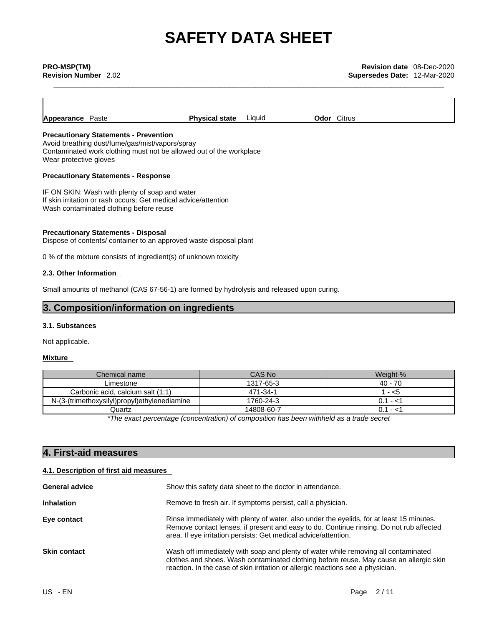**Appearance** Paste **Physical state** Liquid **Odor** Citrus

### **Precautionary Statements - Prevention**

Avoid breathing dust/fume/gas/mist/vapors/spray Contaminated work clothing must not be allowed out of the workplace Wear protective gloves

### **Precautionary Statements - Response**

IF ON SKIN: Wash with plenty of soap and water If skin irritation or rash occurs: Get medical advice/attention Wash contaminated clothing before reuse

### **Precautionary Statements - Disposal**

Dispose of contents/ container to an approved waste disposal plant

0 % of the mixture consists of ingredient(s) of unknown toxicity

### **2.3. Other Information**

Small amounts of methanol (CAS 67-56-1) are formed by hydrolysis and released upon curing.

### **3. Composition/information on ingredients**

### **3.1. Substances**

Not applicable.

### **Mixture**

| Chemical name                                | CAS No     | Weight-%    |
|----------------------------------------------|------------|-------------|
| Limestone                                    | 1317-65-3  | 40 - 70     |
| Carbonic acid, calcium salt (1:1)            | 471-34-1   | - <5        |
| N-(3-(trimethoxysilyl)propyl)ethylenediamine | 1760-24-3  | - <1        |
| Quartz                                       | 14808-60-7 | 0.1<br>- <1 |

*\*The exact percentage (concentration) ofcomposition has been withheld as a trade secret*

## **4. First-aid measures**

### **4.1. Description of first aid measures**

| <b>General advice</b> | Show this safety data sheet to the doctor in attendance.                                                                                                                                                                                                        |  |  |  |
|-----------------------|-----------------------------------------------------------------------------------------------------------------------------------------------------------------------------------------------------------------------------------------------------------------|--|--|--|
| <b>Inhalation</b>     | Remove to fresh air. If symptoms persist, call a physician.                                                                                                                                                                                                     |  |  |  |
| Eye contact           | Rinse immediately with plenty of water, also under the eyelids, for at least 15 minutes.<br>Remove contact lenses, if present and easy to do. Continue rinsing. Do not rub affected<br>area. If eye irritation persists: Get medical advice/attention.          |  |  |  |
| <b>Skin contact</b>   | Wash off immediately with soap and plenty of water while removing all contaminated<br>clothes and shoes. Wash contaminated clothing before reuse. May cause an allergic skin<br>reaction. In the case of skin irritation or allergic reactions see a physician. |  |  |  |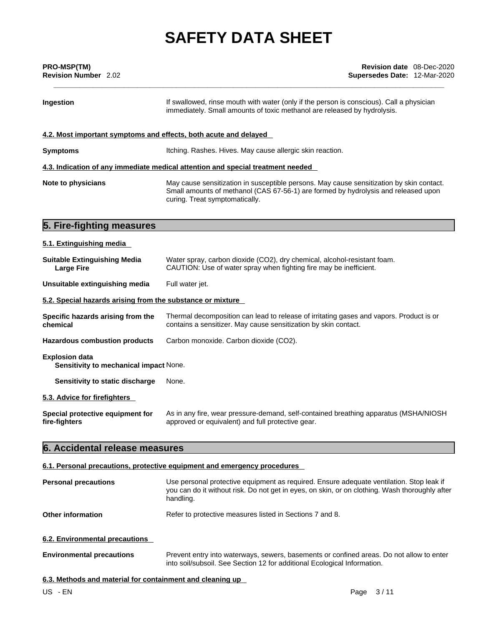| <b>PRO-MSP(TM)</b><br><b>Revision Number</b> 2.02 | <b>Revision date</b> 08-Dec-2020<br><b>Supersedes Date: 12-Mar-2020</b>                                                                                                                                          |  |  |  |  |
|---------------------------------------------------|------------------------------------------------------------------------------------------------------------------------------------------------------------------------------------------------------------------|--|--|--|--|
| Ingestion                                         | If swallowed, rinse mouth with water (only if the person is conscious). Call a physician<br>immediately. Small amounts of toxic methanol are released by hydrolysis.                                             |  |  |  |  |
|                                                   | 4.2. Most important symptoms and effects, both acute and delayed                                                                                                                                                 |  |  |  |  |
| <b>Symptoms</b>                                   | Itching. Rashes. Hives. May cause allergic skin reaction.                                                                                                                                                        |  |  |  |  |
|                                                   | 4.3. Indication of any immediate medical attention and special treatment needed                                                                                                                                  |  |  |  |  |
| Note to physicians                                | May cause sensitization in susceptible persons. May cause sensitization by skin contact.<br>Small amounts of methanol (CAS 67-56-1) are formed by hydrolysis and released upon<br>curing. Treat symptomatically. |  |  |  |  |
| 5. Fire-fighting measures                         |                                                                                                                                                                                                                  |  |  |  |  |
| 5.1. Extinguishing media                          |                                                                                                                                                                                                                  |  |  |  |  |

| <b>Suitable Extinguishing Media</b><br><b>Large Fire</b>        | Water spray, carbon dioxide (CO2), dry chemical, alcohol-resistant foam.<br>CAUTION: Use of water spray when fighting fire may be inefficient.             |  |  |  |  |
|-----------------------------------------------------------------|------------------------------------------------------------------------------------------------------------------------------------------------------------|--|--|--|--|
| Unsuitable extinguishing media                                  | Full water jet.                                                                                                                                            |  |  |  |  |
| 5.2. Special hazards arising from the substance or mixture      |                                                                                                                                                            |  |  |  |  |
| Specific hazards arising from the<br>chemical                   | Thermal decomposition can lead to release of irritating gases and vapors. Product is or<br>contains a sensitizer. May cause sensitization by skin contact. |  |  |  |  |
| <b>Hazardous combustion products</b>                            | Carbon monoxide. Carbon dioxide (CO2).                                                                                                                     |  |  |  |  |
| <b>Explosion data</b><br>Sensitivity to mechanical impact None. |                                                                                                                                                            |  |  |  |  |
| Sensitivity to static discharge                                 | None.                                                                                                                                                      |  |  |  |  |
| 5.3. Advice for firefighters                                    |                                                                                                                                                            |  |  |  |  |
| Special protective equipment for<br>fire-fighters               | As in any fire, wear pressure-demand, self-contained breathing apparatus (MSHA/NIOSH)<br>approved or equivalent) and full protective gear.                 |  |  |  |  |

## **6. Accidental release measures**

### **6.1. Personal precautions, protective equipment and emergency procedures**

| <b>Personal precautions</b>      | Use personal protective equipment as required. Ensure adequate ventilation. Stop leak if<br>you can do it without risk. Do not get in eyes, on skin, or on clothing. Wash thoroughly after<br>handling. |
|----------------------------------|---------------------------------------------------------------------------------------------------------------------------------------------------------------------------------------------------------|
| Other information                | Refer to protective measures listed in Sections 7 and 8.                                                                                                                                                |
| 6.2. Environmental precautions   |                                                                                                                                                                                                         |
| <b>Environmental precautions</b> | Prevent entry into waterways, sewers, basements or confined areas. Do not allow to enter<br>into soil/subsoil. See Section 12 for additional Ecological Information.                                    |

### **6.3. Methods and material for containment and cleaning up**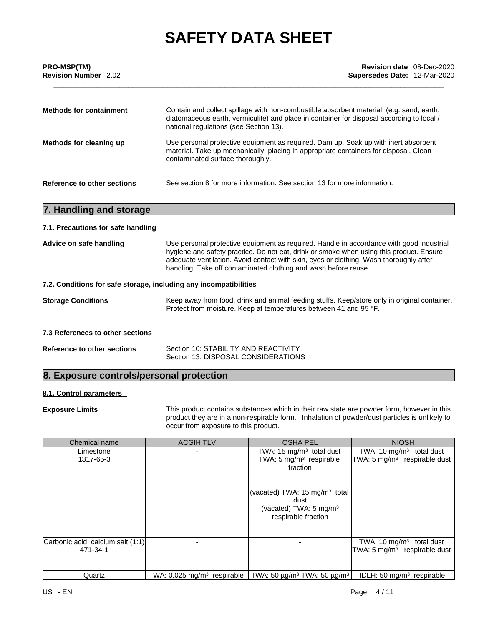| <b>PRO-MSP(TM)</b><br><b>Revision Number</b> 2.02 | <b>Revision date</b> 08-Dec-2020<br><b>Supersedes Date: 12-Mar-2020</b>                                                                                                                                                         |  |  |  |
|---------------------------------------------------|---------------------------------------------------------------------------------------------------------------------------------------------------------------------------------------------------------------------------------|--|--|--|
| <b>Methods for containment</b>                    | Contain and collect spillage with non-combustible absorbent material, (e.g. sand, earth,<br>diatomaceous earth, vermiculite) and place in container for disposal according to local /<br>national regulations (see Section 13). |  |  |  |
| Methods for cleaning up                           | Use personal protective equipment as required. Dam up. Soak up with inert absorbent<br>material. Take up mechanically, placing in appropriate containers for disposal. Clean<br>contaminated surface thoroughly.                |  |  |  |
| Reference to other sections                       | See section 8 for more information. See section 13 for more information.                                                                                                                                                        |  |  |  |

## **7. Handling and storage**

### **7.1. Precautions for safe handling**

| Advice on safe handling | Use personal protective equipment as required. Handle in accordance with good industrial |
|-------------------------|------------------------------------------------------------------------------------------|
|                         | hygiene and safety practice. Do not eat, drink or smoke when using this product. Ensure  |
|                         | adequate ventilation. Avoid contact with skin, eyes or clothing. Wash thoroughly after   |
|                         | handling. Take off contaminated clothing and wash before reuse.                          |

### **7.2. Conditions for safe storage, including any incompatibilities**

| <b>Storage Conditions</b> | Keep away from food, drink and animal feeding stuffs. Keep/store only in original container. |
|---------------------------|----------------------------------------------------------------------------------------------|
|                           | Protect from moisture. Keep at temperatures between 41 and 95 °F.                            |

### **7.3 References to other sections**

| <b>Reference to other sections</b> | Section 10: STABILITY AND REACTIVITY |
|------------------------------------|--------------------------------------|
|                                    | Section 13: DISPOSAL CONSIDERATIONS  |

## **8. Exposure controls/personal protection**

### **8.1. Control parameters**

**Exposure Limits** This product contains substances which in their raw state are powder form, however in this product they are in a non-respirable form. Inhalation of powder/dust particles is unlikely to occur from exposure to this product.

| Chemical name                                 | <b>ACGIH TLV</b>                          | <b>OSHA PEL</b>                                                                                               | <b>NIOSH</b>                                                           |
|-----------------------------------------------|-------------------------------------------|---------------------------------------------------------------------------------------------------------------|------------------------------------------------------------------------|
| Limestone<br>1317-65-3                        |                                           | TWA: 15 mg/m $3$ total dust<br>TWA: 5 mg/m <sup>3</sup> respirable<br>fraction                                | TWA: 10 $mg/m3$ total dust<br>TWA: 5 mg/m <sup>3</sup> respirable dust |
|                                               |                                           | (vacated) TWA: 15 mg/m <sup>3</sup> total<br>dust<br>(vacated) TWA: $5 \text{ mg/m}^3$<br>respirable fraction |                                                                        |
| Carbonic acid, calcium salt (1:1)<br>471-34-1 |                                           |                                                                                                               | TWA: 10 $mg/m3$ total dust<br>TWA: 5 mg/m <sup>3</sup> respirable dust |
| Quartz                                        | TWA: $0.025$ mg/m <sup>3</sup> respirable | TWA: 50 $\mu$ g/m <sup>3</sup> TWA: 50 $\mu$ g/m <sup>3</sup>                                                 | IDLH: 50 $mq/m3$ respirable                                            |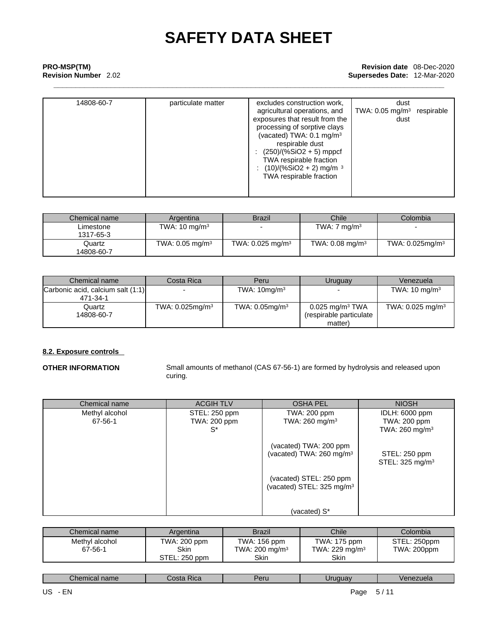### **\_\_\_\_\_\_\_\_\_\_\_\_\_\_\_\_\_\_\_\_\_\_\_\_\_\_\_\_\_\_\_\_\_\_\_\_\_\_\_\_\_\_\_\_\_\_\_\_\_\_\_\_\_\_\_\_\_\_\_\_\_\_\_\_\_\_\_\_\_\_\_\_\_\_\_\_\_\_\_\_\_\_\_\_\_\_\_\_\_ PRO-MSP(TM) Revision date** 08-Dec-2020 **Supersedes Date: 12-Mar-2020**

| 14808-60-7 | particulate matter | excludes construction work,          | dust                                  |  |
|------------|--------------------|--------------------------------------|---------------------------------------|--|
|            |                    | agricultural operations, and         | TWA: $0.05 \text{ mg/m}^3$ respirable |  |
|            |                    | exposures that result from the       | dust                                  |  |
|            |                    | processing of sorptive clays         |                                       |  |
|            |                    | (vacated) TWA: 0.1 mg/m <sup>3</sup> |                                       |  |
|            |                    | respirable dust                      |                                       |  |
|            |                    | $(250)/(%SiO2 + 5)$ mppcf            |                                       |  |
|            |                    | TWA respirable fraction              |                                       |  |
|            |                    | $(10)/(%SiO2 + 2)$ mg/m <sup>3</sup> |                                       |  |
|            |                    | TWA respirable fraction              |                                       |  |
|            |                    |                                      |                                       |  |
|            |                    |                                      |                                       |  |
|            |                    |                                      |                                       |  |

| Chemical name          | Argentina                     | <b>Brazil</b>                  | <b>Chile</b>                  | Colombia                       |
|------------------------|-------------------------------|--------------------------------|-------------------------------|--------------------------------|
| Limestone<br>1317-65-3 | TWA: $10 \text{ mg/m}^3$      |                                | TWA: $7 \text{ mg/m}^3$       |                                |
| Quartz<br>14808-60-7   | TWA: $0.05$ mg/m <sup>3</sup> | TWA: $0.025$ mg/m <sup>3</sup> | TWA: $0.08$ mg/m <sup>3</sup> | TWA: $0.025$ mg/m <sup>3</sup> |

| Chemical name                     | Costa Rica                     | Peru                 | Uruguay                       | Venezuela                      |
|-----------------------------------|--------------------------------|----------------------|-------------------------------|--------------------------------|
| Carbonic acid, calcium salt (1:1) |                                | TWA: $10$ mg/m $3$   |                               | TWA: $10 \text{ mg/m}^3$       |
| 471-34-1                          |                                |                      |                               |                                |
| Quartz                            | TWA: $0.025$ mg/m <sup>3</sup> | TWA: $0.05$ mg/m $3$ | $0.025$ mg/m <sup>3</sup> TWA | TWA: $0.025$ mg/m <sup>3</sup> |
| 14808-60-7                        |                                |                      | (respirable particulate       |                                |
|                                   |                                |                      | matter)                       |                                |

### **8.2. Exposure controls**

**OTHER INFORMATION** Small amounts of methanol (CAS 67-56-1) are formed by hydrolysis and released upon curing.

| Chemical name  | <b>ACGIH TLV</b> | <b>OSHA PEL</b>                       | <b>NIOSH</b>                 |
|----------------|------------------|---------------------------------------|------------------------------|
| Methyl alcohol | STEL: 250 ppm    | TWA: 200 ppm                          | IDLH: 6000 ppm               |
| 67-56-1        | TWA: 200 ppm     | TWA: $260$ mg/m <sup>3</sup>          | TWA: 200 ppm                 |
|                | $S^*$            |                                       | TWA: $260$ mg/m <sup>3</sup> |
|                |                  | (vacated) TWA: 200 ppm                |                              |
|                |                  | (vacated) TWA: 260 mg/m <sup>3</sup>  | STEL: 250 ppm                |
|                |                  |                                       | STEL: $325 \text{ mg/m}^3$   |
|                |                  | (vacated) STEL: 250 ppm               |                              |
|                |                  | (vacated) STEL: 325 mg/m <sup>3</sup> |                              |
|                |                  |                                       |                              |
|                |                  | (vacated) S*                          |                              |

| Chemical name             | Argentina                   | <b>Brazil</b>                              | Chile                             | Colombia                    |
|---------------------------|-----------------------------|--------------------------------------------|-----------------------------------|-----------------------------|
| Methyl alcohol<br>67-56-1 | TWA: 200 ppm<br><b>Skin</b> | TWA: 156 ppm<br>TWA: 200 mg/m <sup>3</sup> | TWA: 175 ppm<br>TWA: 229 mg/m $3$ | STEL: 250ppm<br>TWA: 200ppm |
|                           | STEL: 250 ppm               | Skin                                       | Skin                              |                             |

| `hen<br>Jor.<br>name<br>J . A C<br>н<br><b>NGC</b><br>ᄗ<br>- 61 -<br><b>UGIC</b> |
|----------------------------------------------------------------------------------|
|----------------------------------------------------------------------------------|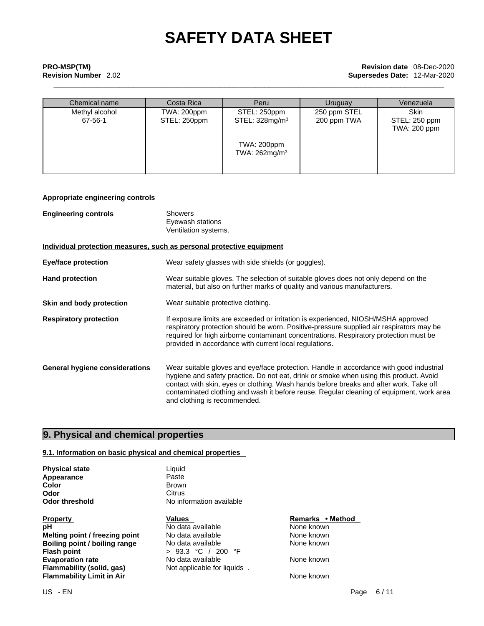## **\_\_\_\_\_\_\_\_\_\_\_\_\_\_\_\_\_\_\_\_\_\_\_\_\_\_\_\_\_\_\_\_\_\_\_\_\_\_\_\_\_\_\_\_\_\_\_\_\_\_\_\_\_\_\_\_\_\_\_\_\_\_\_\_\_\_\_\_\_\_\_\_\_\_\_\_\_\_\_\_\_\_\_\_\_\_\_\_\_ PRO-MSP(TM) Revision date** 08-Dec-2020 **Revision Number** 2.02 **Supersedes Date:** 12-Mar-2020

| Chemical name             | Costa Rica                  | Peru                                       | Uruguay                     | Venezuela                             |
|---------------------------|-----------------------------|--------------------------------------------|-----------------------------|---------------------------------------|
| Methyl alcohol<br>67-56-1 | TWA: 200ppm<br>STEL: 250ppm | STEL: 250ppm<br>STEL: 328mg/m <sup>3</sup> | 250 ppm STEL<br>200 ppm TWA | Skin<br>STEL: 250 ppm<br>TWA: 200 ppm |
|                           |                             | TWA: 200ppm<br>TWA: 262mg/m <sup>3</sup>   |                             |                                       |

### **Appropriate engineering controls**

| <b>Engineering controls</b>    | <b>Showers</b><br>Eyewash stations<br>Ventilation systems.                                                                                                                                                                                                                                                                                                                                              |
|--------------------------------|---------------------------------------------------------------------------------------------------------------------------------------------------------------------------------------------------------------------------------------------------------------------------------------------------------------------------------------------------------------------------------------------------------|
|                                | Individual protection measures, such as personal protective equipment                                                                                                                                                                                                                                                                                                                                   |
| Eye/face protection            | Wear safety glasses with side shields (or goggles).                                                                                                                                                                                                                                                                                                                                                     |
| <b>Hand protection</b>         | Wear suitable gloves. The selection of suitable gloves does not only depend on the<br>material, but also on further marks of quality and various manufacturers.                                                                                                                                                                                                                                         |
| Skin and body protection       | Wear suitable protective clothing.                                                                                                                                                                                                                                                                                                                                                                      |
| <b>Respiratory protection</b>  | If exposure limits are exceeded or irritation is experienced, NIOSH/MSHA approved<br>respiratory protection should be worn. Positive-pressure supplied air respirators may be<br>required for high airborne contaminant concentrations. Respiratory protection must be<br>provided in accordance with current local regulations.                                                                        |
| General hygiene considerations | Wear suitable gloves and eye/face protection. Handle in accordance with good industrial<br>hygiene and safety practice. Do not eat, drink or smoke when using this product. Avoid<br>contact with skin, eyes or clothing. Wash hands before breaks and after work. Take off<br>contaminated clothing and wash it before reuse. Regular cleaning of equipment, work area<br>and clothing is recommended. |

### **9. Physical and chemical properties**

### **9.1. Information on basic physical and chemical properties**

**Physical state** Liquid<br> **Appearance** Liquid Paste **Appearance** Paste<br> **Color** Brown

**Property Construction Construction Construction Construction Construction Property <b>Property Remarks** • **Method**<br> **PH Construction Construction Construction Construction Construction Construction Constru pH**<br> **No data available** Mome known<br> **No data available** Mome known<br>
None known **Melting point / freezing point** No data available None known<br> **Boiling point / boiling range** No data available None known **Boiling point / boiling range<br>Flash point Evaporation rate Reset Cone Access Modata available Reset Cone Known**<br> **Flammability (solid, gas)** Not applicable for liquids . **Flammability Limit in Air**

**Color** Brown **Odor** Citrus Citrus **Odor threshold** No information available

> **Flash point** > 93.3 °C / 200 °F **Not applicable for liquids**.

None known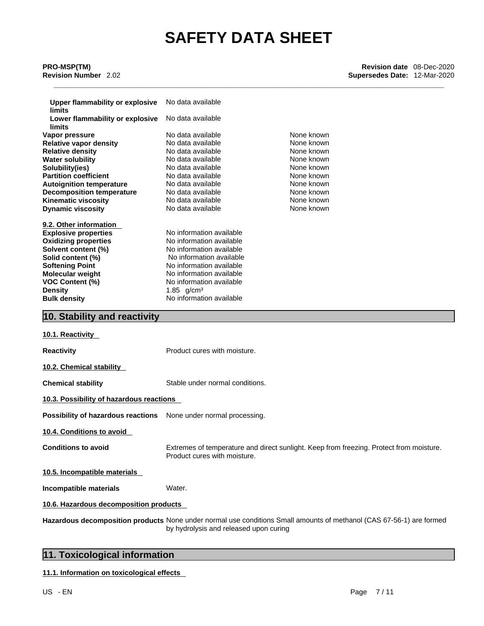| <b>Upper flammability or explosive</b><br><b>limits</b> | No data available               |            |  |  |  |
|---------------------------------------------------------|---------------------------------|------------|--|--|--|
| Lower flammability or explosive<br><b>limits</b>        | No data available               |            |  |  |  |
| Vapor pressure                                          | No data available               | None known |  |  |  |
| <b>Relative vapor density</b>                           | No data available               | None known |  |  |  |
| <b>Relative density</b>                                 | No data available               | None known |  |  |  |
| <b>Water solubility</b>                                 | No data available               | None known |  |  |  |
| Solubility(ies)                                         | No data available               | None known |  |  |  |
| <b>Partition coefficient</b>                            | No data available               | None known |  |  |  |
| <b>Autoignition temperature</b>                         | No data available               | None known |  |  |  |
|                                                         | No data available               | None known |  |  |  |
| <b>Decomposition temperature</b>                        | No data available               | None known |  |  |  |
| <b>Kinematic viscosity</b><br><b>Dynamic viscosity</b>  | No data available               | None known |  |  |  |
|                                                         |                                 |            |  |  |  |
| 9.2. Other information                                  |                                 |            |  |  |  |
| <b>Explosive properties</b>                             | No information available        |            |  |  |  |
| <b>Oxidizing properties</b>                             | No information available        |            |  |  |  |
| Solvent content (%)                                     | No information available        |            |  |  |  |
|                                                         |                                 |            |  |  |  |
| Solid content (%)                                       | No information available        |            |  |  |  |
| <b>Softening Point</b>                                  | No information available        |            |  |  |  |
| <b>Molecular weight</b>                                 | No information available        |            |  |  |  |
| <b>VOC Content (%)</b>                                  | No information available        |            |  |  |  |
| <b>Density</b>                                          | 1.85 $g/cm^{3}$                 |            |  |  |  |
| <b>Bulk density</b>                                     | No information available        |            |  |  |  |
| 10. Stability and reactivity                            |                                 |            |  |  |  |
|                                                         |                                 |            |  |  |  |
| 10.1. Reactivity                                        |                                 |            |  |  |  |
| <b>Reactivity</b>                                       | Product cures with moisture.    |            |  |  |  |
| 10.2. Chemical stability                                |                                 |            |  |  |  |
| <b>Chemical stability</b>                               | Stable under normal conditions. |            |  |  |  |
| 10.3. Possibility of hazardous reactions                |                                 |            |  |  |  |
| Possibility of hazardous reactions                      | None under normal processing.   |            |  |  |  |

**10.4. Conditions to avoid** 

**Conditions to avoid** Extremes of temperature and direct sunlight. Keep from freezing. Protect from moisture. Product cures with moisture.

**10.5. Incompatible materials**

**Incompatible materials** Water.

**10.6. Hazardous decomposition products** 

**Hazardous decomposition products** None under normal use conditions Small amounts of methanol (CAS 67-56-1) are formed by hydrolysis and released upon curing

## **11. Toxicological information**

**11.1. Information on toxicologicaleffects**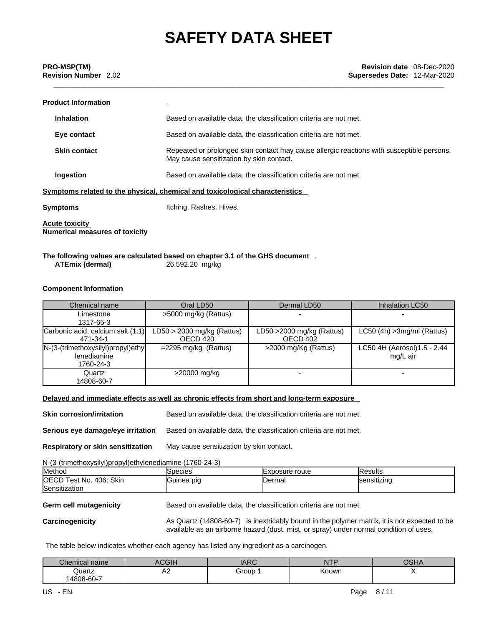| <b>Product Information</b>                                     |                                                                                                                                       |
|----------------------------------------------------------------|---------------------------------------------------------------------------------------------------------------------------------------|
| <b>Inhalation</b>                                              | Based on available data, the classification criteria are not met.                                                                     |
| Eye contact                                                    | Based on available data, the classification criteria are not met.                                                                     |
| <b>Skin contact</b>                                            | Repeated or prolonged skin contact may cause allergic reactions with susceptible persons.<br>May cause sensitization by skin contact. |
| Ingestion                                                      | Based on available data, the classification criteria are not met.                                                                     |
|                                                                | Symptoms related to the physical, chemical and toxicological characteristics                                                          |
| <b>Symptoms</b>                                                | Itching. Rashes. Hives.                                                                                                               |
| <b>Acute toxicity</b><br><b>Numerical measures of toxicity</b> |                                                                                                                                       |

**The following values are calculated based on chapter 3.1 of the GHS document** .**ATEmix (dermal)**26,592.20 mg/kg

### **Component Information**

| Chemical name                                                           | Oral LD50                                | Dermal LD50                              | Inhalation LC50                          |
|-------------------------------------------------------------------------|------------------------------------------|------------------------------------------|------------------------------------------|
| Limestone<br>1317-65-3                                                  | >5000 mg/kg (Rattus)                     |                                          |                                          |
| Carbonic acid, calcium salt (1:1)<br>471-34-1                           | $LD50 > 2000$ mg/kg (Rattus)<br>OECD 420 | LD50 $>$ 2000 mg/kg (Rattus)<br>OECD 402 | $LC50$ (4h) $>3$ mg/ml (Rattus)          |
| $N-(3-(\text{trimethoxysilyl})propyl)$ ethy<br>lenediamine<br>1760-24-3 | $=$ 2295 mg/kg (Rattus)                  | >2000 mg/Kg (Rattus)                     | LC50 4H (Aerosol) 1.5 - 2.44<br>mg/L air |
| Quartz<br>14808-60-7                                                    | >20000 mg/kg                             |                                          |                                          |

### **Delayed and immediate effects as well as chronic effects from short and long-term exposure**

| Skin corrosion/irritation         | Based on available data, the classification criteria are not met. |
|-----------------------------------|-------------------------------------------------------------------|
| Serious eye damage/eye irritation | Based on available data, the classification criteria are not met. |
| Respiratory or skin sensitization | May cause sensitization by skin contact.                          |

N-(3-(trimethoxysilyl)propyl)ethylenediamine (1760-24-3)

| <b>Method</b>           | Species    | <b>IExposure route</b> | <b>IResults</b> |
|-------------------------|------------|------------------------|-----------------|
| OECD Test No. 406: Skin | Guinea pig | IDermal                | sensitizing     |
| Sensitization           |            |                        |                 |
|                         |            |                        |                 |

### **Germ cell mutagenicity** Based on available data, the classification criteria are not met.

Carcinogenicity **As Quartz (14808-60-7)** is inextricably bound in the polymer matrix, it is not expected to be available as an airborne hazard (dust, mist, or spray) under normal condition of uses.

The table below indicates whether each agency has listed any ingredient as a carcinogen.

| Chemical name | ACGIH                         | $\triangle$ $\triangleright$ $\triangle$<br>טאמע | <b>NTF</b> | ∩ല⊿<br>UJNA |
|---------------|-------------------------------|--------------------------------------------------|------------|-------------|
| Quartz        | $\overline{\phantom{a}}$<br>∼ | Group                                            | Known      |             |
| 14808-60-7    |                               |                                                  |            |             |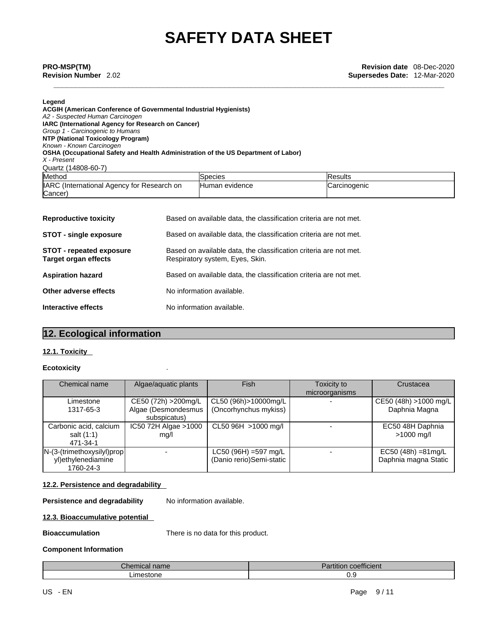### **Legend**

| <b>ACGIH (American Conference of Governmental Industrial Hygienists)</b><br>A2 - Suspected Human Carcinogen<br><b>IARC (International Agency for Research on Cancer)</b><br>Group 1 - Carcinogenic to Humans |                |                |
|--------------------------------------------------------------------------------------------------------------------------------------------------------------------------------------------------------------|----------------|----------------|
| NTP (National Toxicology Program)<br>Known - Known Carcinogen                                                                                                                                                |                |                |
| OSHA (Occupational Safety and Health Administration of the US Department of Labor)<br>X - Present                                                                                                            |                |                |
| Quartz (14808-60-7)                                                                                                                                                                                          |                |                |
| Method                                                                                                                                                                                                       | Species        | <b>Results</b> |
| IARC (International Agency for Research on<br>(Cancer                                                                                                                                                        | Human evidence | Carcinogenic   |
|                                                                                                                                                                                                              |                |                |

| <b>Reproductive toxicity</b>                            | Based on available data, the classification criteria are not met.                                    |
|---------------------------------------------------------|------------------------------------------------------------------------------------------------------|
| <b>STOT - single exposure</b>                           | Based on available data, the classification criteria are not met.                                    |
| <b>STOT - repeated exposure</b><br>Target organ effects | Based on available data, the classification criteria are not met.<br>Respiratory system, Eyes, Skin. |
| <b>Aspiration hazard</b>                                | Based on available data, the classification criteria are not met.                                    |
| Other adverse effects                                   | No information available.                                                                            |
| Interactive effects                                     | No information available.                                                                            |
|                                                         |                                                                                                      |

## **12. Ecological information**

### **12.1. Toxicity**

### **Ecotoxicity** .

| Chemical name                                                    | Algae/aquatic plants                                        | <b>Fish</b>                                         | Toxicity to<br>microorganisms | Crustacea                                     |
|------------------------------------------------------------------|-------------------------------------------------------------|-----------------------------------------------------|-------------------------------|-----------------------------------------------|
| Limestone<br>1317-65-3                                           | CE50 (72h) > 200mg/L<br>Algae (Desmondesmus<br>subspicatus) | CL50 (96h)>10000mg/L<br>(Oncorhynchus mykiss)       |                               | CE50 (48h) >1000 mg/L<br>Daphnia Magna        |
| Carbonic acid, calcium<br>salt (1:1)<br>471-34-1                 | IC50 72H Algae >1000<br>mq/l                                | CL50 96H >1000 mg/l                                 |                               | EC50 48H Daphnia<br>$>1000$ mg/l              |
| $N-(3-(trimethoxysilyl)prop)$<br>yl)ethylenediamine<br>1760-24-3 |                                                             | $LC50 (96H) = 597 mg/L$<br>(Danio rerio)Semi-static |                               | $EC50 (48h) = 81mg/L$<br>Daphnia magna Static |

### **12.2. Persistence and degradability**

**Persistence and degradability** No information available.

### **12.3. Bioaccumulative potential**

**Bioaccumulation** There is no data for this product.

### **Component Information**

| $\overline{\phantom{a}}$                 | $\overline{\phantom{a}}$ |
|------------------------------------------|--------------------------|
| $n \sim$                                 | $\cdots$                 |
| $   -$                                   | coemcient                |
| nemical name                             | aruuon                   |
| $\blacksquare$<br>-------<br>:stone<br>. | ∪.ອ                      |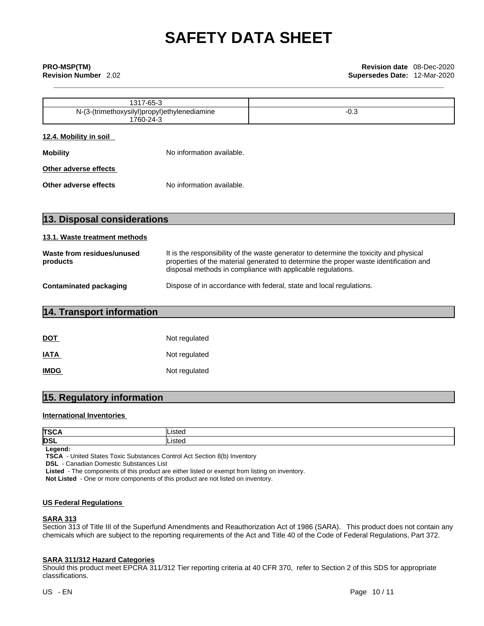|                                                           | 1317-65-3 |        |
|-----------------------------------------------------------|-----------|--------|
| N-(3-(trimethoxysilyl)propyl)ethylenediamine<br>1760-24-3 |           | $-0.3$ |
| 12.4. Mobility in soil                                    |           |        |
| No information available.<br><b>Mobility</b>              |           |        |
| Other adverse effects                                     |           |        |
| No information available.<br>Other adverse effects        |           |        |
|                                                           |           |        |

| 13.1. Waste treatment methods          |                                                                                                                                                                                                                                                |  |  |  |
|----------------------------------------|------------------------------------------------------------------------------------------------------------------------------------------------------------------------------------------------------------------------------------------------|--|--|--|
| Waste from residues/unused<br>products | It is the responsibility of the waste generator to determine the toxicity and physical<br>properties of the material generated to determine the proper waste identification and<br>disposal methods in compliance with applicable regulations. |  |  |  |
| Contaminated packaging                 | Dispose of in accordance with federal, state and local regulations.                                                                                                                                                                            |  |  |  |

| 14. Transport information |  |  |
|---------------------------|--|--|
|                           |  |  |
|                           |  |  |

**13. Disposal considerations** 

| <u>DOT</u>  | Not regulated |
|-------------|---------------|
| <b>IATA</b> | Not regulated |
| <b>IMDG</b> | Not regulated |

## **15. Regulatory information**

### **International Inventories**

| lTSC/      | <b>istec</b> |
|------------|--------------|
| <b>DSL</b> | <b>istec</b> |

**Legend:**

**TSCA** - United States Toxic Substances Control Act Section 8(b) Inventory

**DSL** - Canadian Domestic Substances List

**Listed** - The components of this product are either listed or exempt from listing on inventory.

**Not Listed** - One or more components of this product are not listed on inventory.

### **US Federal Regulations**

### **SARA 313**

Section 313 of Title III of the Superfund Amendments and Reauthorization Act of 1986 (SARA). This product does not contain any chemicals which are subject to the reporting requirements of the Act and Title 40 of the Code of Federal Regulations, Part 372.

### **SARA 311/312 Hazard Categories**

Should this product meet EPCRA 311/312 Tier reporting criteria at 40 CFR 370, refer to Section 2 of this SDS for appropriate classifications.